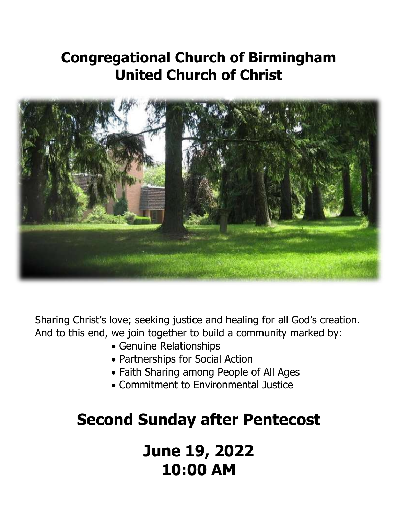# **Congregational Church of Birmingham United Church of Christ**



Sharing Christ's love; seeking justice and healing for all God's creation. And to this end, we join together to build a community marked by:

- Genuine Relationships
- Partnerships for Social Action
- Faith Sharing among People of All Ages
- Commitment to Environmental Justice

# **Second Sunday after Pentecost**

**June 19, 2022 10:00 AM**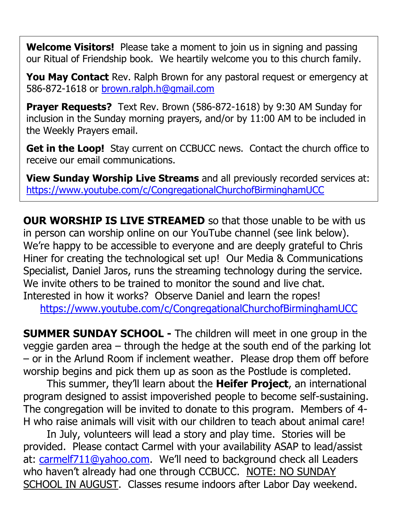**Welcome Visitors!** Please take a moment to join us in signing and passing our Ritual of Friendship book. We heartily welcome you to this church family.

**You May Contact** Rev. Ralph Brown for any pastoral request or emergency at 586-872-1618 or [brown.ralph.h@gmail.com](mailto:brown.ralph.h@gmail.com)

**Prayer Requests?** Text Rev. Brown (586-872-1618) by 9:30 AM Sunday for inclusion in the Sunday morning prayers, and/or by 11:00 AM to be included in the Weekly Prayers email.

**Get in the Loop!** Stay current on CCBUCC news. Contact the church office to receive our email communications.

**View Sunday Worship Live Streams** and all previously recorded services at: <https://www.youtube.com/c/CongregationalChurchofBirminghamUCC>

**OUR WORSHIP IS LIVE STREAMED** so that those unable to be with us in person can worship online on our YouTube channel (see link below). We're happy to be accessible to everyone and are deeply grateful to Chris Hiner for creating the technological set up! Our Media & Communications Specialist, Daniel Jaros, runs the streaming technology during the service. We invite others to be trained to monitor the sound and live chat. Interested in how it works? Observe Daniel and learn the ropes!

<https://www.youtube.com/c/CongregationalChurchofBirminghamUCC>

**SUMMER SUNDAY SCHOOL -** The children will meet in one group in the veggie garden area – through the hedge at the south end of the parking lot – or in the Arlund Room if inclement weather. Please drop them off before worship begins and pick them up as soon as the Postlude is completed.

This summer, they'll learn about the **Heifer Project**, an international program designed to assist impoverished people to become self-sustaining. The congregation will be invited to donate to this program. Members of 4- H who raise animals will visit with our children to teach about animal care!

In July, volunteers will lead a story and play time. Stories will be provided. Please contact Carmel with your availability ASAP to lead/assist at: [carmelf711@yahoo.com](mailto:CARMELF711@YAHOO.COM). We'll need to background check all Leaders who haven't already had one through CCBUCC. NOTE: NO SUNDAY SCHOOL IN AUGUST. Classes resume indoors after Labor Day weekend.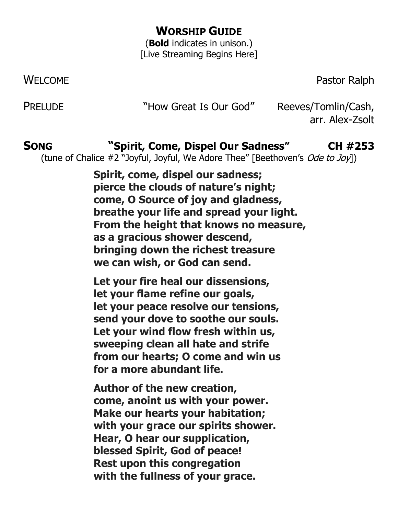# **WORSHIP GUIDE**

(**Bold** indicates in unison.) [Live Streaming Begins Here]

WELCOME **Pastor Ralph** 

PRELUDE "How Great Is Our God" Reeves/Tomlin/Cash,

arr. Alex-Zsolt

# **SONG "Spirit, Come, Dispel Our Sadness" CH #253**

(tune of Chalice #2 "Joyful, Joyful, We Adore Thee" [Beethoven's Ode to Joy])

**Spirit, come, dispel our sadness; pierce the clouds of nature's night; come, O Source of joy and gladness, breathe your life and spread your light. From the height that knows no measure, as a gracious shower descend, bringing down the richest treasure we can wish, or God can send.**

**Let your fire heal our dissensions, let your flame refine our goals, let your peace resolve our tensions, send your dove to soothe our souls. Let your wind flow fresh within us, sweeping clean all hate and strife from our hearts; O come and win us for a more abundant life.**

**Author of the new creation, come, anoint us with your power. Make our hearts your habitation; with your grace our spirits shower. Hear, O hear our supplication, blessed Spirit, God of peace! Rest upon this congregation with the fullness of your grace.**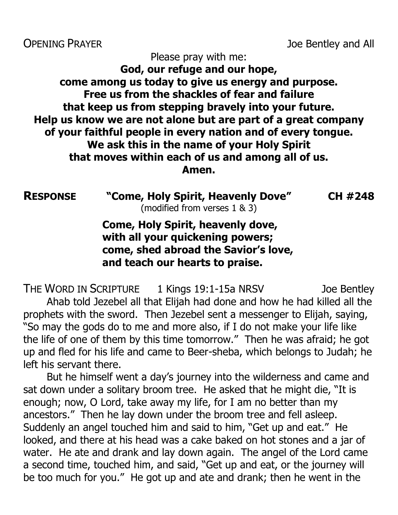OPENING PRAYER **DERITY CONSUMING PRAYER Joe Bentley and All** 

Please pray with me:

### **God, our refuge and our hope, come among us today to give us energy and purpose. Free us from the shackles of fear and failure that keep us from stepping bravely into your future. Help us know we are not alone but are part of a great company of your faithful people in every nation and of every tongue. We ask this in the name of your Holy Spirit that moves within each of us and among all of us. Amen.**

**RESPONSE "Come, Holy Spirit, Heavenly Dove" CH #248** (modified from verses 1 & 3)

**Come, Holy Spirit, heavenly dove, with all your quickening powers; come, shed abroad the Savior's love, and teach our hearts to praise.**

THE WORD IN SCRIPTURE 1 Kings 19:1-15a NRSV Joe Bentley Ahab told Jezebel all that Elijah had done and how he had killed all the prophets with the sword. Then Jezebel sent a messenger to Elijah, saying, "So may the gods do to me and more also, if I do not make your life like the life of one of them by this time tomorrow." Then he was afraid; he got up and fled for his life and came to Beer-sheba, which belongs to Judah; he left his servant there.

But he himself went a day's journey into the wilderness and came and sat down under a solitary broom tree. He asked that he might die, "It is enough; now, O Lord, take away my life, for I am no better than my ancestors." Then he lay down under the broom tree and fell asleep. Suddenly an angel touched him and said to him, "Get up and eat." He looked, and there at his head was a cake baked on hot stones and a jar of water. He ate and drank and lay down again. The angel of the Lord came a second time, touched him, and said, "Get up and eat, or the journey will be too much for you." He got up and ate and drank; then he went in the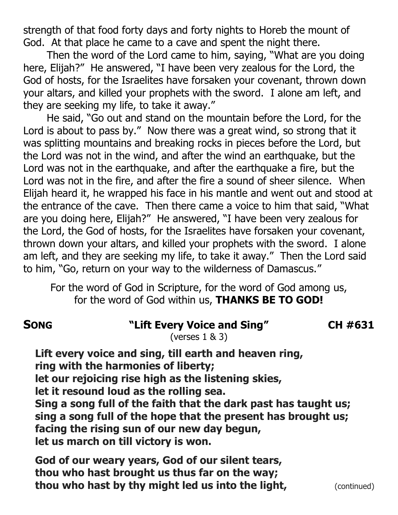strength of that food forty days and forty nights to Horeb the mount of God. At that place he came to a cave and spent the night there.

Then the word of the Lord came to him, saying, "What are you doing here, Elijah?" He answered, "I have been very zealous for the Lord, the God of hosts, for the Israelites have forsaken your covenant, thrown down your altars, and killed your prophets with the sword. I alone am left, and they are seeking my life, to take it away."

He said, "Go out and stand on the mountain before the Lord, for the Lord is about to pass by." Now there was a great wind, so strong that it was splitting mountains and breaking rocks in pieces before the Lord, but the Lord was not in the wind, and after the wind an earthquake, but the Lord was not in the earthquake, and after the earthquake a fire, but the Lord was not in the fire, and after the fire a sound of sheer silence. When Elijah heard it, he wrapped his face in his mantle and went out and stood at the entrance of the cave. Then there came a voice to him that said, "What are you doing here, Elijah?" He answered, "I have been very zealous for the Lord, the God of hosts, for the Israelites have forsaken your covenant, thrown down your altars, and killed your prophets with the sword. I alone am left, and they are seeking my life, to take it away." Then the Lord said to him, "Go, return on your way to the wilderness of Damascus."

For the word of God in Scripture, for the word of God among us, for the word of God within us, **THANKS BE TO GOD!**

| <b>SONG</b> | "Lift Every Voice and Sing" | CH #631 |
|-------------|-----------------------------|---------|
|-------------|-----------------------------|---------|

(verses 1 & 3)

**Lift every voice and sing, till earth and heaven ring, ring with the harmonies of liberty; let our rejoicing rise high as the listening skies, let it resound loud as the rolling sea. Sing a song full of the faith that the dark past has taught us; sing a song full of the hope that the present has brought us; facing the rising sun of our new day begun,**

**let us march on till victory is won.**

**God of our weary years, God of our silent tears, thou who hast brought us thus far on the way; thou who hast by thy might led us into the light,** (continued)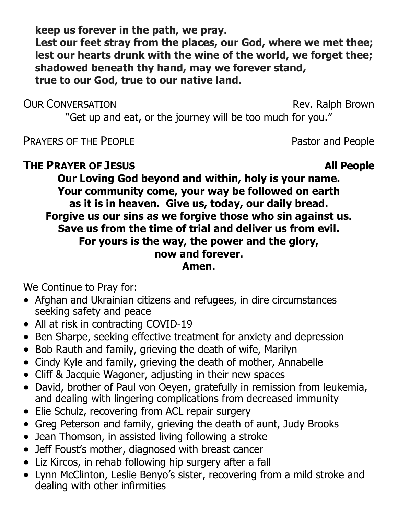**keep us forever in the path, we pray. Lest our feet stray from the places, our God, where we met thee; lest our hearts drunk with the wine of the world, we forget thee; shadowed beneath thy hand, may we forever stand, true to our God, true to our native land.**

#### OUR CONVERSATION **CONVERSATION**

"Get up and eat, or the journey will be too much for you."

PRAYERS OF THE PEOPLE **PRAYERS** OF THE PEOPLE

### **THE PRAYER OF JESUS All People**

**Our Loving God beyond and within, holy is your name. Your community come, your way be followed on earth as it is in heaven. Give us, today, our daily bread. Forgive us our sins as we forgive those who sin against us. Save us from the time of trial and deliver us from evil. For yours is the way, the power and the glory, now and forever. Amen.**

We Continue to Pray for:

- Afghan and Ukrainian citizens and refugees, in dire circumstances seeking safety and peace
- All at risk in contracting COVID-19
- Ben Sharpe, seeking effective treatment for anxiety and depression
- Bob Rauth and family, grieving the death of wife, Marilyn
- Cindy Kyle and family, grieving the death of mother, Annabelle
- Cliff & Jacquie Wagoner, adjusting in their new spaces
- David, brother of Paul von Oeyen, gratefully in remission from leukemia, and dealing with lingering complications from decreased immunity
- Elie Schulz, recovering from ACL repair surgery
- Greg Peterson and family, grieving the death of aunt, Judy Brooks
- Jean Thomson, in assisted living following a stroke
- Jeff Foust's mother, diagnosed with breast cancer
- Liz Kircos, in rehab following hip surgery after a fall
- Lynn McClinton, Leslie Benyo's sister, recovering from a mild stroke and dealing with other infirmities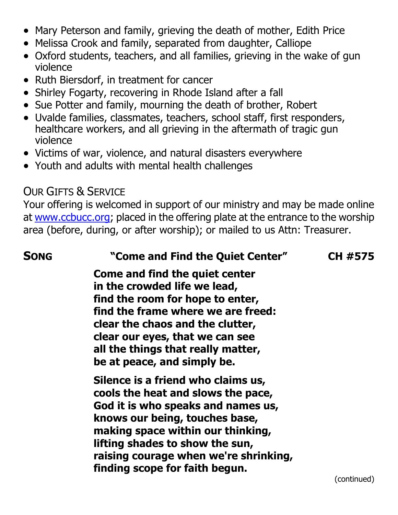- Mary Peterson and family, grieving the death of mother, Edith Price
- Melissa Crook and family, separated from daughter, Calliope
- Oxford students, teachers, and all families, grieving in the wake of gun violence
- Ruth Biersdorf, in treatment for cancer
- Shirley Fogarty, recovering in Rhode Island after a fall
- Sue Potter and family, mourning the death of brother, Robert
- Uvalde families, classmates, teachers, school staff, first responders, healthcare workers, and all grieving in the aftermath of tragic gun violence
- Victims of war, violence, and natural disasters everywhere
- Youth and adults with mental health challenges

# OUR GIFTS & SERVICE

Your offering is welcomed in support of our ministry and may be made online at [www.ccbucc.org;](http://www.ccbucc.org/) placed in the offering plate at the entrance to the worship area (before, during, or after worship); or mailed to us Attn: Treasurer.

### **SONG "Come and Find the Quiet Center" CH #575**

**Come and find the quiet center in the crowded life we lead, find the room for hope to enter, find the frame where we are freed: clear the chaos and the clutter, clear our eyes, that we can see all the things that really matter, be at peace, and simply be.**

**Silence is a friend who claims us, cools the heat and slows the pace, God it is who speaks and names us, knows our being, touches base, making space within our thinking, lifting shades to show the sun, raising courage when we're shrinking, finding scope for faith begun.**

(continued)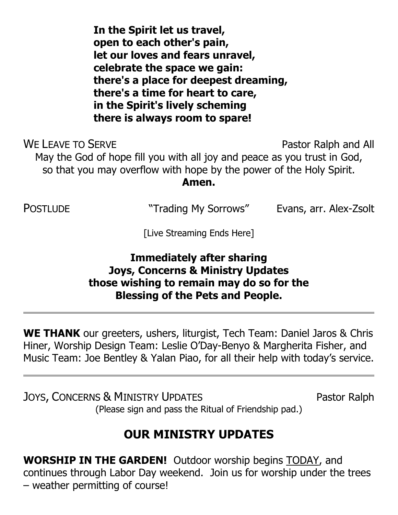**In the Spirit let us travel, open to each other's pain, let our loves and fears unravel, celebrate the space we gain: there's a place for deepest dreaming, there's a time for heart to care, in the Spirit's lively scheming there is always room to spare!**

WE LEAVE TO SERVE **Pastor Ralph and All** May the God of hope fill you with all joy and peace as you trust in God, so that you may overflow with hope by the power of the Holy Spirit. **Amen.**

POSTLUDE "Trading My Sorrows" Evans, arr. Alex-Zsolt

[Live Streaming Ends Here]

### **Immediately after sharing Joys, Concerns & Ministry Updates those wishing to remain may do so for the Blessing of the Pets and People.**

**WE THANK** our greeters, ushers, liturgist, Tech Team: Daniel Jaros & Chris Hiner, Worship Design Team: Leslie O'Day-Benyo & Margherita Fisher, and Music Team: Joe Bentley & Yalan Piao, for all their help with today's service.

JOYS, CONCERNS & MINISTRY UPDATES Pastor Ralph (Please sign and pass the Ritual of Friendship pad.)

**OUR MINISTRY UPDATES**

**WORSHIP IN THE GARDEN!** Outdoor worship begins TODAY, and continues through Labor Day weekend. Join us for worship under the trees – weather permitting of course!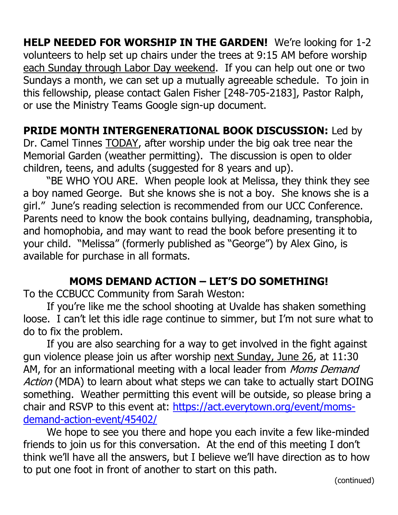**HELP NEEDED FOR WORSHIP IN THE GARDEN!** We're looking for 1-2 volunteers to help set up chairs under the trees at 9:15 AM before worship each Sunday through Labor Day weekend. If you can help out one or two Sundays a month, we can set up a mutually agreeable schedule. To join in this fellowship, please contact Galen Fisher [248-705-2183], Pastor Ralph, or use the Ministry Teams Google sign-up document.

# **PRIDE MONTH INTERGENERATIONAL BOOK DISCUSSION:** Led by

Dr. Camel Tinnes TODAY, after worship under the big oak tree near the Memorial Garden (weather permitting). The discussion is open to older children, teens, and adults (suggested for 8 years and up).

"BE WHO YOU ARE. When people look at Melissa, they think they see a boy named George. But she knows she is not a boy. She knows she is a girl." June's reading selection is recommended from our UCC Conference. Parents need to know the book contains bullying, deadnaming, transphobia, and homophobia, and may want to read the book before presenting it to your child. "Melissa" (formerly published as "George") by Alex Gino, is available for purchase in all formats.

# **MOMS DEMAND ACTION – LET'S DO SOMETHING!**

To the CCBUCC Community from Sarah Weston:

If you're like me the school shooting at Uvalde has shaken something loose. I can't let this idle rage continue to simmer, but I'm not sure what to do to fix the problem.

If you are also searching for a way to get involved in the fight against gun violence please join us after worship next Sunday, June 26, at 11:30 AM, for an informational meeting with a local leader from *Moms Demand* Action (MDA) to learn about what steps we can take to actually start DOING something. Weather permitting this event will be outside, so please bring a chair and RSVP to this event at: [https://act.everytown.org/event/moms](https://protect-us.mimecast.com/s/HsQ7CKr9R8f81EM8CMPlUF/)[demand-action-event/45402/](https://protect-us.mimecast.com/s/HsQ7CKr9R8f81EM8CMPlUF/)

We hope to see you there and hope you each invite a few like-minded friends to join us for this conversation. At the end of this meeting I don't think we'll have all the answers, but I believe we'll have direction as to how to put one foot in front of another to start on this path.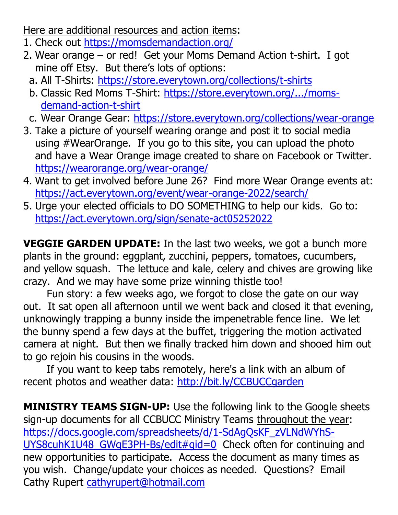Here are additional resources and action items:

- 1. Check out [https://momsdemandaction.org/](https://protect-us.mimecast.com/s/sF-ICADKx6Hr8k5Gc8zjMG/)
- 2. Wear orange or red! Get your Moms Demand Action t-shirt. I got mine off Etsy. But there's lots of options:
	- a. All T-Shirts: [https://store.everytown.org/collections/t-shirts](https://store.everytown.org/collections/t-shirts?fbclid=IwAR1Pwq6jLp-3NFzPKpcnN0UOY1-i2qq6VUlg4d41pxiSeTtnzh9fJPwc3Vc)
	- b. Classic Red Moms T-Shirt: [https://store.everytown.org/.../moms](https://store.everytown.org/collections/moms-demand-action/products/moms-demand-action-t-shirt?fbclid=IwAR0C9TKdAUQQYjlqJMG2yIGzrdepHVIhambP_CRhaxa_yy8f7TAzrG_3Tlo)[demand-action-t-shirt](https://store.everytown.org/collections/moms-demand-action/products/moms-demand-action-t-shirt?fbclid=IwAR0C9TKdAUQQYjlqJMG2yIGzrdepHVIhambP_CRhaxa_yy8f7TAzrG_3Tlo)
- c. Wear Orange Gear: [https://store.everytown.org/collections/wear-orange](https://store.everytown.org/collections/wear-orange?fbclid=IwAR3hbDWzHBMNz8szUAu5RmgnwdHf5sUNrGpZza3jiC34oRZNm3H1GKKyRZ0)
- 3. Take a picture of yourself wearing orange and post it to social media using #WearOrange. If you go to this site, you can upload the photo and have a Wear Orange image created to share on Facebook or Twitter. [https://wearorange.org/wear-orange/](https://protect-us.mimecast.com/s/RV_TCM8W6ZUx7NYvcRYITW/)
- 4. Want to get involved before June 26? Find more Wear Orange events at: [https://act.everytown.org/event/wear-orange-2022/search/](https://protect-us.mimecast.com/s/IDwjCOY6RgH5MWkEcJ5om1/)
- 5. Urge your elected officials to DO SOMETHING to help our kids. Go to: <https://act.everytown.org/sign/senate-act05252022>

**VEGGIE GARDEN UPDATE:** In the last two weeks, we got a bunch more plants in the ground: eggplant, zucchini, peppers, tomatoes, cucumbers, and yellow squash. The lettuce and kale, celery and chives are growing like crazy. And we may have some prize winning thistle too!

Fun story: a few weeks ago, we forgot to close the gate on our way out. It sat open all afternoon until we went back and closed it that evening, unknowingly trapping a bunny inside the impenetrable fence line. We let the bunny spend a few days at the buffet, triggering the motion activated camera at night. But then we finally tracked him down and shooed him out to go rejoin his cousins in the woods.

If you want to keep tabs remotely, here's a link with an album of recent photos and weather data:<http://bit.ly/CCBUCCgarden>

**MINISTRY TEAMS SIGN-UP:** Use the following link to the Google sheets sign-up documents for all CCBUCC Ministry Teams throughout the year: [https://docs.google.com/spreadsheets/d/1-SdAgQsKF\\_zVLNdWYhS-](https://docs.google.com/spreadsheets/d/1-SdAgQsKF_zVLNdWYhS-UYS8cuhK1U48_GWqE3PH-Bs/edit#gid=0)[UYS8cuhK1U48\\_GWqE3PH-Bs/edit#gid=0](https://docs.google.com/spreadsheets/d/1-SdAgQsKF_zVLNdWYhS-UYS8cuhK1U48_GWqE3PH-Bs/edit#gid=0) Check often for continuing and new opportunities to participate. Access the document as many times as you wish. Change/update your choices as needed. Questions? Email Cathy Rupert [cathyrupert@hotmail.com](mailto:cathyrupert@hotmail.com)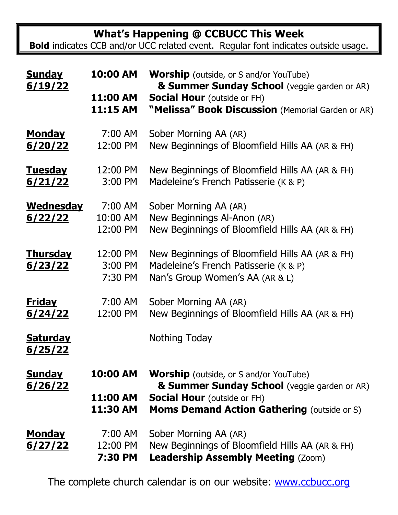**What's Happening @ CCBUCC This Week**

**Bold** indicates CCB and/or UCC related event. Regular font indicates outside usage.

| <b>Sunday</b><br>6/19/22 | 10:00 AM | <b>Worship</b> (outside, or S and/or YouTube)<br>& Summer Sunday School (veggie garden or AR) |
|--------------------------|----------|-----------------------------------------------------------------------------------------------|
|                          | 11:00 AM | <b>Social Hour</b> (outside or FH)                                                            |
|                          | 11:15 AM | "Melissa" Book Discussion (Memorial Garden or AR)                                             |
| <b>Monday</b>            | 7:00 AM  | Sober Morning AA (AR)                                                                         |
| 6/20/22                  | 12:00 PM | New Beginnings of Bloomfield Hills AA (AR & FH)                                               |
| <u>Tuesday</u>           | 12:00 PM | New Beginnings of Bloomfield Hills AA (AR & FH)                                               |
| 6/21/22                  | 3:00 PM  | Madeleine's French Patisserie (K & P)                                                         |
| <b>Wednesday</b>         | 7:00 AM  | Sober Morning AA (AR)                                                                         |
| <u>6/22/22</u>           | 10:00 AM | New Beginnings Al-Anon (AR)                                                                   |
|                          | 12:00 PM | New Beginnings of Bloomfield Hills AA (AR & FH)                                               |
| <u>Thursday</u>          | 12:00 PM | New Beginnings of Bloomfield Hills AA (AR & FH)                                               |
| 6/23/22                  | 3:00 PM  | Madeleine's French Patisserie (K & P)                                                         |
|                          | 7:30 PM  | Nan's Group Women's AA (AR & L)                                                               |
| <u>Friday</u>            | 7:00 AM  | Sober Morning AA (AR)                                                                         |
| 6/24/22                  | 12:00 PM | New Beginnings of Bloomfield Hills AA (AR & FH)                                               |
| <b>Saturday</b>          |          | Nothing Today                                                                                 |
| <u>6/25/22</u>           |          |                                                                                               |
| <b>Sunday</b>            | 10:00 AM | <b>Worship</b> (outside, or S and/or YouTube)                                                 |
| 6/26/22                  |          | & Summer Sunday School (veggie garden or AR)                                                  |
|                          | 11:00 AM | <b>Social Hour</b> (outside or FH)                                                            |
|                          | 11:30 AM | <b>Moms Demand Action Gathering (outside or S)</b>                                            |
| <u>Monday</u>            | 7:00 AM  | Sober Morning AA (AR)                                                                         |
| <u>6/27/22</u>           | 12:00 PM | New Beginnings of Bloomfield Hills AA (AR & FH)                                               |
|                          | 7:30 PM  | <b>Leadership Assembly Meeting (Zoom)</b>                                                     |

The complete church calendar is on our website: [www.ccbucc.org](http://www.ccbucc.org/)